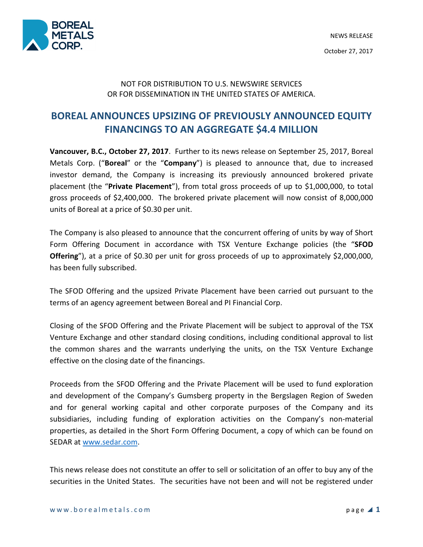

## NOT FOR DISTRIBUTION TO U.S. NEWSWIRE SERVICES OR FOR DISSEMINATION IN THE UNITED STATES OF AMERICA.

# BOREAL ANNOUNCES UPSIZING OF PREVIOUSLY ANNOUNCED EQUITY FINANCINGS TO AN AGGREGATE \$4.4 MILLION

Vancouver, B.C., October 27, 2017. Further to its news release on September 25, 2017, Boreal Metals Corp. ("Boreal" or the "Company") is pleased to announce that, due to increased investor demand, the Company is increasing its previously announced brokered private placement (the "Private Placement"), from total gross proceeds of up to \$1,000,000, to total gross proceeds of \$2,400,000. The brokered private placement will now consist of 8,000,000 units of Boreal at a price of \$0.30 per unit.

The Company is also pleased to announce that the concurrent offering of units by way of Short Form Offering Document in accordance with TSX Venture Exchange policies (the "SFOD Offering"), at a price of \$0.30 per unit for gross proceeds of up to approximately \$2,000,000, has been fully subscribed.

The SFOD Offering and the upsized Private Placement have been carried out pursuant to the terms of an agency agreement between Boreal and PI Financial Corp.

Closing of the SFOD Offering and the Private Placement will be subject to approval of the TSX Venture Exchange and other standard closing conditions, including conditional approval to list the common shares and the warrants underlying the units, on the TSX Venture Exchange effective on the closing date of the financings.

Proceeds from the SFOD Offering and the Private Placement will be used to fund exploration and development of the Company's Gumsberg property in the Bergslagen Region of Sweden and for general working capital and other corporate purposes of the Company and its subsidiaries, including funding of exploration activities on the Company's non-material properties, as detailed in the Short Form Offering Document, a copy of which can be found on SEDAR at www.sedar.com.

This news release does not constitute an offer to sell or solicitation of an offer to buy any of the securities in the United States. The securities have not been and will not be registered under